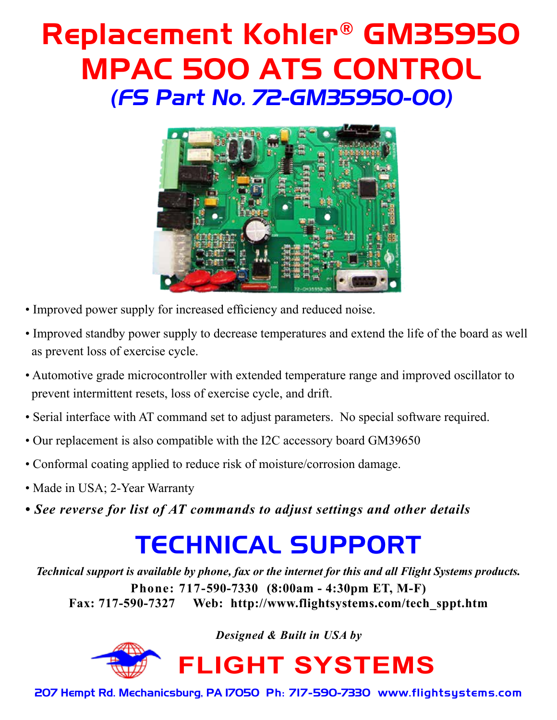# Replacement Kohler® GM35950 MPAC 500 ATS CONTROL (FS Part No. 72-GM35950-00)



- Improved power supply for increased efficiency and reduced noise.
- Improved standby power supply to decrease temperatures and extend the life of the board as well as prevent loss of exercise cycle.
- Automotive grade microcontroller with extended temperature range and improved oscillator to prevent intermittent resets, loss of exercise cycle, and drift.
- Serial interface with AT command set to adjust parameters. No special software required.
- Our replacement is also compatible with the I2C accessory board GM39650
- Conformal coating applied to reduce risk of moisture/corrosion damage.
- Made in USA; 2-Year Warranty
- *See reverse for list of AT commands to adjust settings and other details*

## TECHNICAL SUPPORT

*Technical support is available by phone, fax or the internet for this and all Flight Systems products.* **Phone: 717-590-7330 (8:00am - 4:30pm ET, M-F) Fax: 717-590-7327 Web: http://www.flightsystems.com/tech\_sppt.htm**

*Designed & Built in USA by*



**FLIGHT SYSTEMS**

207 Hempt Rd. Mechanicsburg, PA 17050 Ph: 717-590-7330 www.flightsystems.com